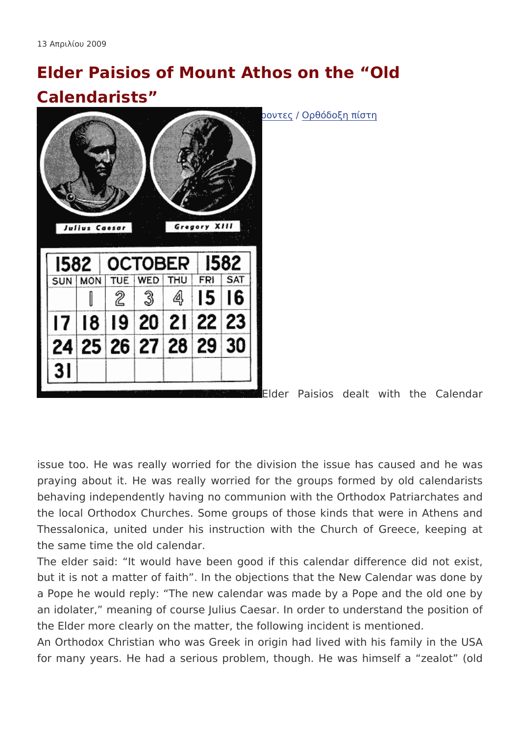## Elder Paisios of Mount Athos on the Old Calendarists

 $\check{z}$ -½µÂ  $\check{a}$  »ÎÃ $\check{A}$ lµn Engliks†h $\check{a}$ ' $\check{a}$  -  $\check{A}$  -ÁµÂ - "-ÁŸ¿Á⁄½ $\check{A}$ ´ku $\hat{A}^2$ · À $\check{a}$  $\check{A}$ .

 $\bullet \rightarrow \rightarrow \cdot \frac{1}{2}$ <sup>10</sup> $\neg$  In Greek

Elder Paisios dealt with the

issue too. He was really worried for the division the issue h praying about it. He was really worried for the groups forme behaving independently having no communion with the Orthodox the local Orthodox Churches. Some groups of those kinds that Thessalonica, united under his instruction with the Church of the same time the old calendar.

The elder said: It would have been good if this calendar dif but it is not a matter of faith. In the objections that the New C a Pope he would reply: The new calendar was made by a Pope an idolater, meaning of course Julius Caesar. In order to unde the Elder more clearly on the matter, the following incident is m An Orthodox Christian who was Greek in origin had lived with for many years. He had a serious problem, though. He was hi